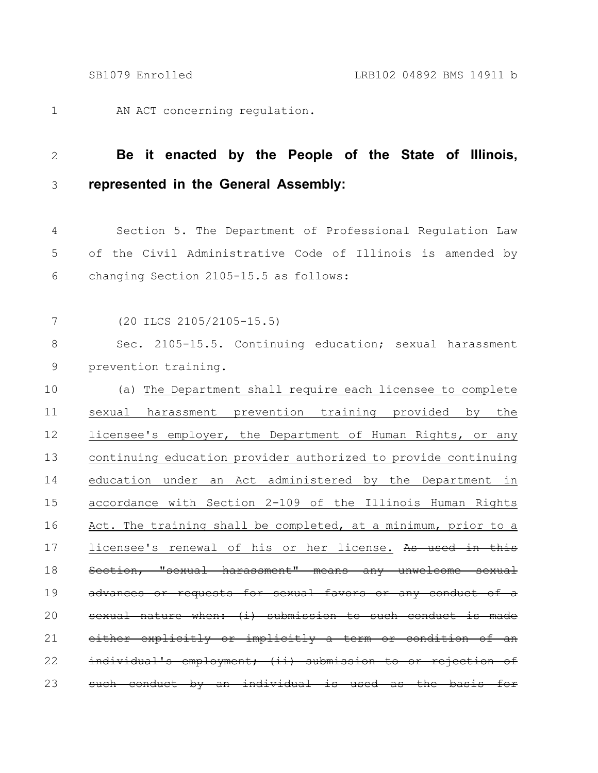AN ACT concerning regulation. 1

## **Be it enacted by the People of the State of Illinois, represented in the General Assembly:** 2 3

Section 5. The Department of Professional Regulation Law of the Civil Administrative Code of Illinois is amended by changing Section 2105-15.5 as follows: 4 5 6

(20 ILCS 2105/2105-15.5) 7

Sec. 2105-15.5. Continuing education; sexual harassment prevention training. 8 9

(a) The Department shall require each licensee to complete sexual harassment prevention training provided by the licensee's employer, the Department of Human Rights, or any continuing education provider authorized to provide continuing education under an Act administered by the Department in accordance with Section 2-109 of the Illinois Human Rights Act. The training shall be completed, at a minimum, prior to a licensee's renewal of his or her license. As used in this Section, "sexual harassment" means any unwelcome advances or requests for sexual favors or any conduct of a  $s$ exual nature when: (i) submission to such conduct either explicitly or implicitly a term or condition of an individual's employment; (ii) submission to or rejection of such conduct by an individual is used as the 10 11 12 13 14 15 16 17 18 19 20 21 22 23